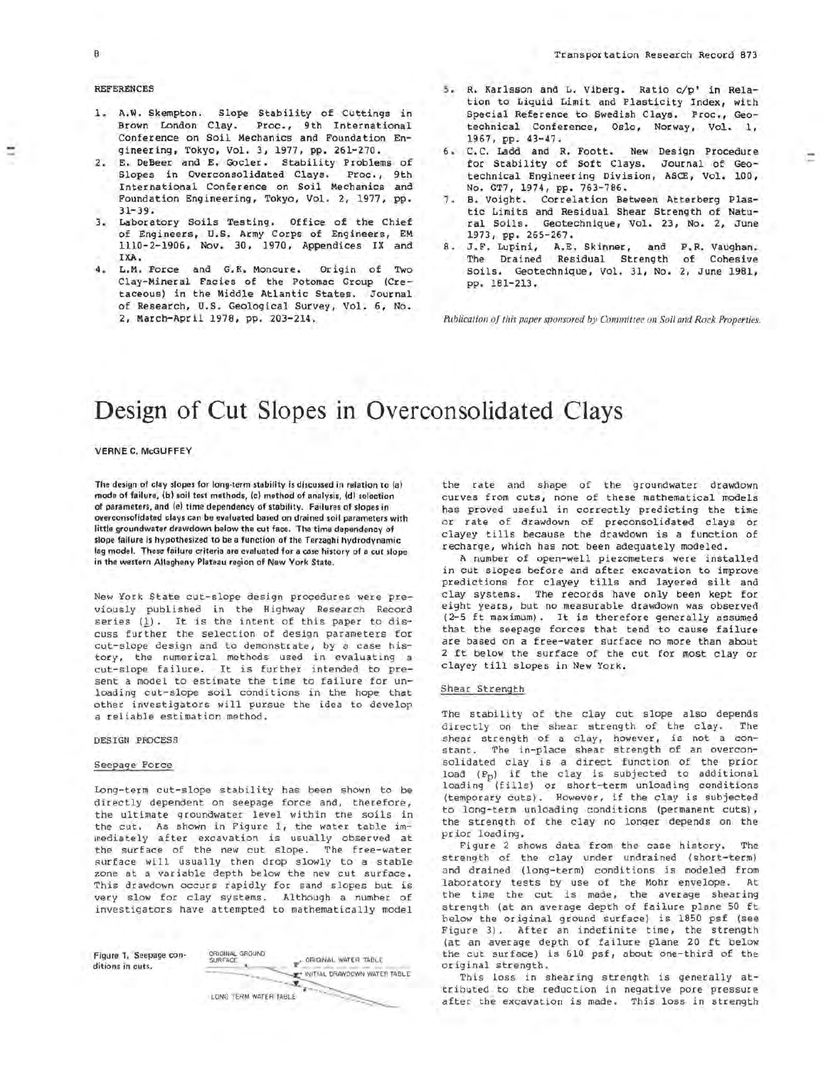# REFERENCES

- 1. A,W, Skempton. Slope Stability of Cuttings in Brown London Clay. Proc., 9th International Conference on Soil Mechanics and Foundation Engineering, Tokyo, Vol. 3, 1977, pp. 261-270.
- 2. E, DeBeer and E, Gocler. Stability Problems of Slopes in Overconsolidated Clays. Proc., 9th International Conference on Soil Mechanics and Foundation Engineering, Tokyo, Vol. 2, 1977, pp. 31-39,
- 3, Laboratory Soils Testing. Office of the Chief of Engineers, U.S. Army Corps of Engineers, EM 1110-2-1906, Nov. 30, 1970, Appendices IX and IXA.
- 4. L.M. Force and G.K. Moncure. Origin of Two Clay-Mineral Facies of the Potomac Group (Cretaceous) in the Middle Atlantic States. Journal of Research, U.S. Geological Survey, Vol. 6, No. 2, March-April 1978, pp. 203-214.
- s. R. Karlsson and L. Viberg. Ratio c/p' in Relation to Liquid Limit and Plasticity Index, with Special Reference to Swedish Clays. Proc., Geotechnical Conference, Oslo, Norway, Vol. 1, 1967, pp. 43-47.
- 6. c.c. Ladd and R, Foott. New Design Procedure for Stability of Soft Clays. Journal of Geotechnical Engineering Division, ASCE, Vol. 100, No. GT7, 1974, pp. 763-786.
- 7. B. Voight. Correlation Between Atterberg Plastic Limits and Residual Shear Strength of Natu-<br>ral Soils. Geotechnique, Vol. 23, No. 2, June Geotechnique, Vol. 23, No. 2, June 1973, pp. 265-267.
- 8. J.F. Lupini, A.E. Skinner, and P.R. Vaughan. The Drained Residual Strength of Cohesive Soils. Geotechnique, Vol. 31, No. 2, June 1981, pp. 181-213.

Publication of this paper sponsored by Committee on Soil and Rock Properties.

# **Design of Cut Slopes in Overconsolidated Clays**

**VERNE C. McGUFFEY** 

The design of clay slopes for long-term stability is discussed in relation to (a) mode of failure, (b) soil test methods, (c) method of analysis, (d) selection of parameters, and (e) time dependency of stability. Failures of slopes in overconsolidated clays can be evaluated based on drained soil parameters with little groundwater drawdown below the cut face. The time dependency of slope failure is hypothesized to be a function of the Terzaghi hydrodynamic lag model. These failure criteria are evaluated for a case history of a cut slope in the western Allegheny Plateau region of New York State.

New York State cut-slope design procedures were previously published in the Highway Research Record series  $(1)$ . It is the intent of this paper to discuss further the selection of design parameters for cut-slope design and to demonstrate, by a case history, the numerical methods used in evaluating a cut-slope failure. It is further intended to present a model to estimate the time to failure for unloading cut-slope soil conditions in the hope that other investigators will pursue the idea to develop a reliable estimation method.

DESIGN PROCESS

#### Seepage Force

Long-term cut-slope stability has been shown to be directly dependent on seepage force and, therefore, the ultimate groundwater level within the soils in the cut. As shown in Figure 1, the water table immediately after excavation is usually observed at the surface of the new cut slope. The free-water surface will usually then drop slowly to a stable zone at a variable depth below the new cut surface. This drawdown occurs rapidly for sand slopes but is very slow for clay systems. Although a number of investigators have attempted to mathematically model



the rate and shape of the groundwater drawdown curves from cuts, none of these mathematical models has proved useful in correctly predicting the time or rate of drawdown of preconsolidated clays or clayey tills because the drawdown is a function of recharge, which has not been adequately modeled.

A number of open-well piezometers were installed in cut slopes before and after excavation to improve predictions for clayey tills and layered silt and clay systems. The records have only been kept for eight years, but no measurable drawdown was observed ( 2-5 ft maximum). It is therefore generally assumed that the seepage forces that tend to cause failure are based on a free-water surface no more than about 2 ft below the surface of the cut for most clay or clayey till slopes in New York.

## Shear Strength

The stability of the clay cut slope also depends directly on the shear strength of the clay. The shear strength of a clay, however, is not a constant. The in-place shear strength of an overcon<sup>s</sup> olidated clay is a direct function of the prior load (Pp) if the clay is subjected to additional loading (fills) or short-term unloading conditions (temporary cuts). However, if the clay is subjected to long-term unloading conditions (permanent cuts), the strength of the clay no longer depends on the prior loading.

Figure 2 shows data from the case history. The strength of the clay under undrained (short-term) and drained (long-term) conditions is modeled from laboratory tests by use of the Mohr envelope. At the time the cut is made, the average shearing strength (at an average depth of failure plane 50 ft below the original ground surface) is 1850 psf (see Figure 3). After an indefinite time, the strength (at an average depth of failure plane 20 ft below the cut surface) is 610 psf, about one-third of the original strength.

This loss in shearing strength is generally attributed to the reduction in negative pore pressure after the excavation is made. This loss in strength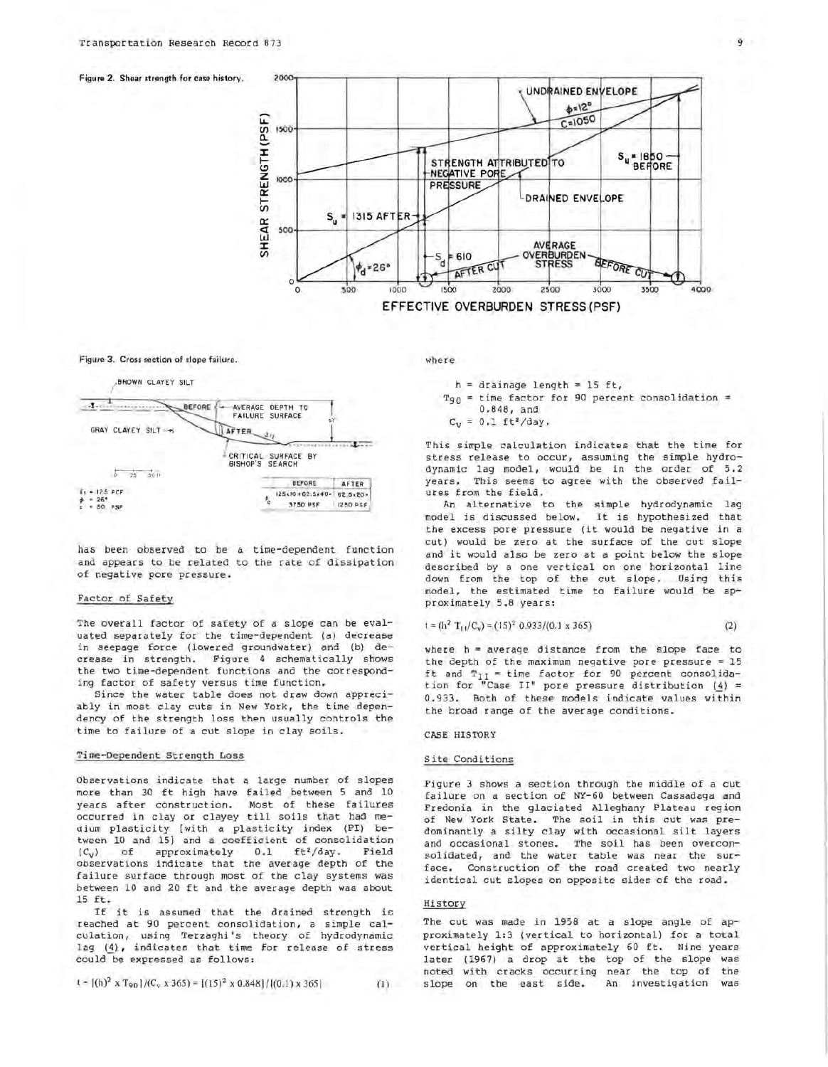



#### Figure 3. Cross section of slope failure.



has been observed to be a time-dependent function and appears to be related to the rate of dissipation of negative pore pressure.

# Factor of Safety

The overall factor of safety of a slope can be evaluated separately for the time-dependent (a) decrease in seepage force (lowered groundwater) and (b) decrease in strength. Figure 4 schematically shows the two time-dependent functions and the corresponding factor of safety versus time function.

Since the water table does not draw down appreciably in most clay cuts in New York, the time dependency of the strength loss then usually controls the time to failure of a cut slope in clay soils.

# Time-Dependent Strength Loss

Observations indicate that a large number of slopes more than 30 ft high have failed between 5 and 10 years after construction. Most of these failures occurred in clay or clayey till soils that had medium plasticity [with a plasticity index (PI) between 10 and 15) and a coefficient of consolidation of approximately  $0.1$  ft<sup>2</sup>/day.  $(C_V)$ Field observations indicate that the average depth of the failure surface through most of the clay systems was between 10 and 20 ft and the average depth was about  $15$   $ft.$ 

If it is assumed that the drained strength is reached at 90 percent consolidation, a simple calculation, using Terzaghi's theory of hydrodynamic lag (4), indicates that time for release of stress could be expressed as follows:

$$
t = [(h)^2 \times T_{90}]/(C_v \times 365) = [(15)^2 \times 0.848]/[(0.1) \times 365]
$$

where

 $h =$  drainage length = 15 ft,

- $Tg_0$  = time factor for 90 percent consolidation =  $0.848$ , and
- $C_v = 0.1 \text{ ft}^2/\text{day}$ .

This simple calculation indicates that the time for stress release to occur, assuming the simple hydrodynamic lag model, would be in the order of 5.2 years. This seems to agree with the observed failures from the field.

An alternative to the simple hydrodynamic lag model is discussed below. It is hypothesized that the excess pore pressure (it would be negative in a cut) would be zero at the surface of the cut slope and it would also be zero at a point below the slope described by a one vertical on one horizontal line down from the top of the cut slope. Using this model, the estimated time to failure would be approximately 5.8 years:

$$
= (\ln^2 T_{11}/C_v) = (15)^2 \ 0.933/(0.1 \times 365) \tag{2}
$$

where h = average distance from the slope face to the depth of the maximum negative pore pressure =  $15$ ft and  $T_{II}$  = time factor for 90 percent consolidation for "Case II" pore pressure distribution (4) = 0.933. Both of these models indicate values within the broad range of the average conditions.

#### CASE HISTORY

t

#### Site Conditions

Figure 3 shows a section through the middle of a cut failure on a section of NY-60 between Cassadaga and Fredonia in the glaciated Alleghany Plateau region of New York State. The soil in this cut was predominantly a silty clay with occasional silt layers and occasional stones. The soil has been overconsolidated, and the water table was near the surface. Construction of the road created two nearly identical cut slopes on opposite sides of the road.

### History

The cut was made in 1958 at a slope angle of approximately 1:3 (vertical to horizontal) for a total vertical height of approximately 60 ft. Nine years later (1967) a drop at the top of the slope was noted with cracks occurring near the top of the slope on the east side. An investigation was

 $(1)$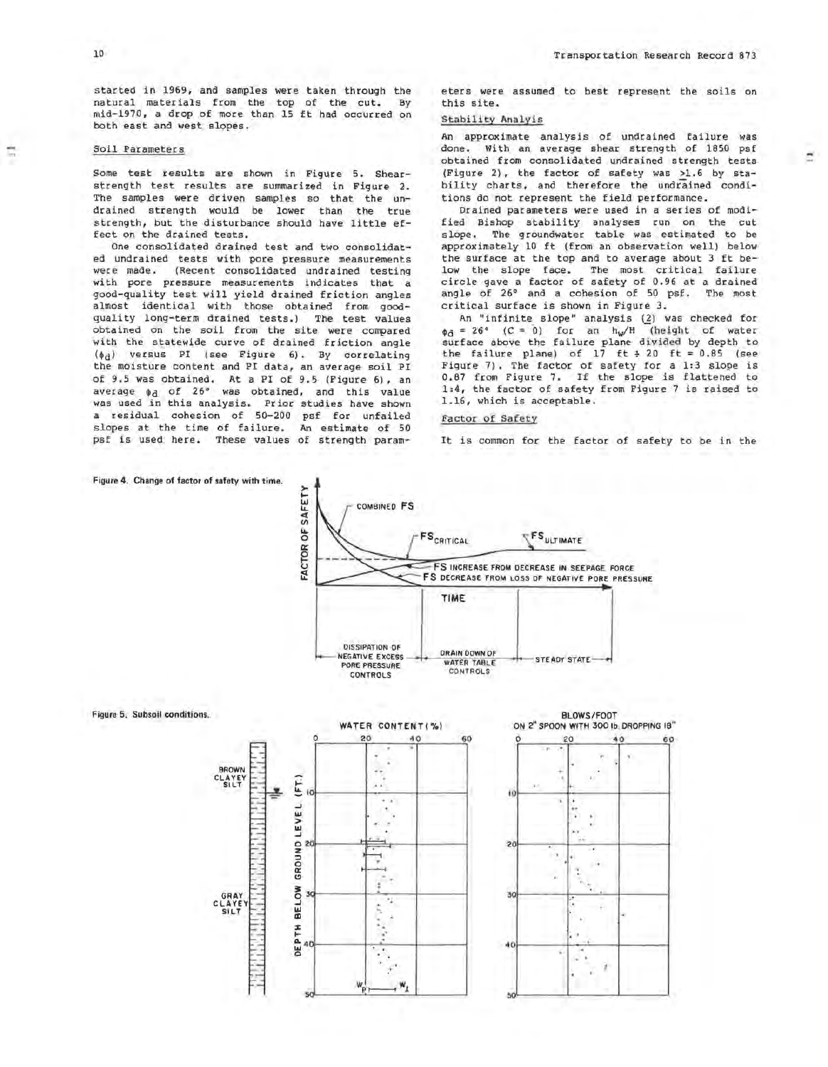Ė

#### Soil Parameters

Some test results are shown in Figure 5. Shearstrength test results are summarized in Figure 2. The samples were driven samples so that the undrained strength would be lower than the true strength, but the disturbance should have little effect on the drained tests.

One consolidated drained test and two consolidated undrained tests with pore pressure measurements were made. (Recent consolidated undrained testing with pore pressure measurements indicates that a good-quality test will yield drained friction angles almost identical with those obtained from goodquality long-term drained tests.) The test values obtained on the soil from the site were compared with the statewide curve of drained friction angle  $(\phi_d)$  versus PI (see Figure 6). By correlating the moisture content and PI data, an average soil PI of 9.5 was obtained. At a PI of 9.5 (Figure 6), an average  $\phi_d$  of 26° was obtained, and this value was used in this analysis. Prior studies have shown a residual cohesion of 50-200 psf for unfailed slopes at the time of failure. An estimate of 50 psf is used here. These values of strength param×.

eters were assumed to best represent the soils on this site.

# Stability Analyis

An approximate analysis of undrained failure was done. With an average shear strength of 1850 psf obtained from consolidated undrained strength tests (Figure 2) , the factor of safety was >l. 6 by stability charts, and therefore the undrained conditions do not represent the field performance.

Drained parameters were used in a series of modified Bishop stability analyses run on the cut slope. The groundwater table was estimated to be approximately 10 ft (from an observation well) below the surface at the top and to average about 3 ft below the slope face. The most critical failure circle gave a factor of safety of 0.96 at a drained angle of 26° and a cohesion of 50 psf. The most critical surface is shown in Figure 3.

An "infinite slope" analysis (2) was checked for  $\phi_{\tilde{d}} = 26^{\circ}$  (C = 0) for an hw/H (height of water surface above the failure plane divided by depth to the failure plane) of  $17$  ft  $\div$  20 ft = 0.85 (see Figure 7). The factor of safety for a 1:3 slope is 0.87 from Figure 7. If the slope is flattened to 1:4, the factor of safety from Figure 7 is raised to 1.16, which is acceptable.

# Factor of Safety

It is common for the factor of safety to be in the